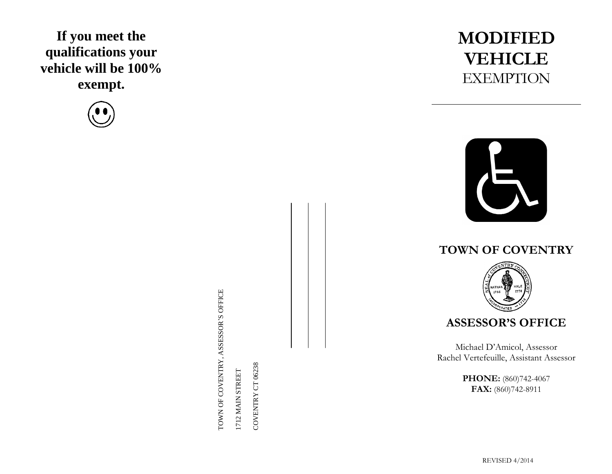## **If you meet the qualifications your vehicle will be 100% exempt.**



TOWN OF COVENTRY, ASSESSOR'S OFFICE TOWN OF COVENTRY, ASSESSOR'S OFFICE

1712 MAIN STREET 1712 MAIN STREET COVENTRY CT 06238 COVENTRY CT 06238

## **MODIFIED VEHICLE EXEMPTION**



## **TOWN OF COVENTRY**



**ASSESSOR'S OFFICE**

Michael D'Amicol, Assessor Rachel Vertefeuille, Assistant Assessor

> **PHONE:** (860)742-4067 **FAX:** (860)742-8911